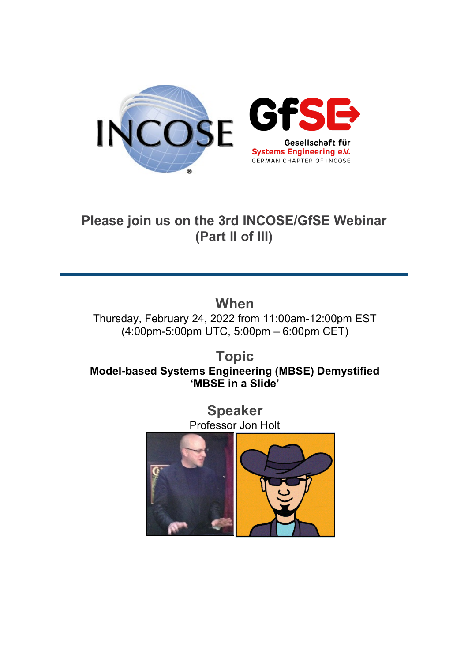

### **Please join us on the 3rd INCOSE/GfSE Webinar (Part II of III)**

**When** Thursday, February 24, 2022 from 11:00am-12:00pm EST (4:00pm-5:00pm UTC, 5:00pm – 6:00pm CET)

**Topic Model-based Systems Engineering (MBSE) Demystified 'MBSE in a Slide'**

> **Speaker** Professor Jon Holt

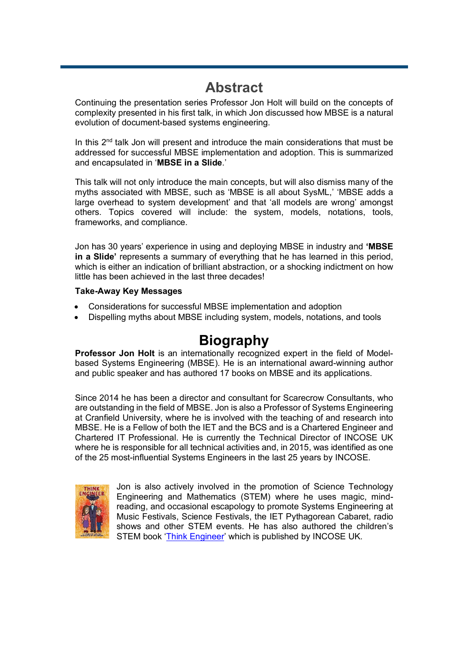## **Abstract**

Continuing the presentation series Professor Jon Holt will build on the concepts of complexity presented in his first talk, in which Jon discussed how MBSE is a natural evolution of document-based systems engineering.

In this 2<sup>nd</sup> talk Jon will present and introduce the main considerations that must be addressed for successful MBSE implementation and adoption. This is summarized and encapsulated in '**MBSE in a Slide**.'

This talk will not only introduce the main concepts, but will also dismiss many of the myths associated with MBSE, such as 'MBSE is all about SysML,' 'MBSE adds a large overhead to system development' and that 'all models are wrong' amongst others. Topics covered will include: the system, models, notations, tools, frameworks, and compliance.

Jon has 30 years' experience in using and deploying MBSE in industry and **'MBSE in a Slide'** represents a summary of everything that he has learned in this period, which is either an indication of brilliant abstraction, or a shocking indictment on how little has been achieved in the last three decades!

#### **Take-Away Key Messages**

- Considerations for successful MBSE implementation and adoption
- Dispelling myths about MBSE including system, models, notations, and tools

### **Biography**

**Professor Jon Holt** is an internationally recognized expert in the field of Modelbased Systems Engineering (MBSE). He is an international award-winning author and public speaker and has authored 17 books on MBSE and its applications.

Since 2014 he has been a director and consultant for Scarecrow Consultants, who are outstanding in the field of MBSE. Jon is also a Professor of Systems Engineering at Cranfield University, where he is involved with the teaching of and research into MBSE. He is a Fellow of both the IET and the BCS and is a Chartered Engineer and Chartered IT Professional. He is currently the Technical Director of INCOSE UK where he is responsible for all technical activities and, in 2015, was identified as one of the 25 most-influential Systems Engineers in the last 25 years by INCOSE.



Jon is also actively involved in the promotion of Science Technology Engineering and Mathematics (STEM) where he uses magic, mindreading, and occasional escapology to promote Systems Engineering at Music Festivals, Science Festivals, the IET Pythagorean Cabaret, radio shows and other STEM events. He has also authored the children's STEM book ['Think Engineer'](https://incoseuk.org/Normal_Files/Outreach/Think_Engineer) which is published by INCOSE UK.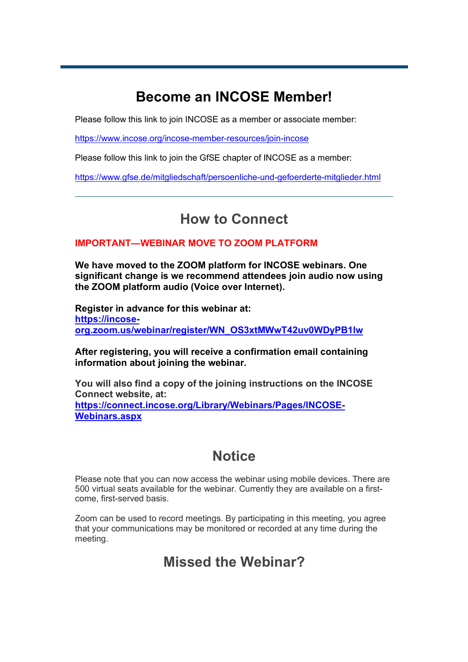# **Become an INCOSE Member!**

Please follow this link to join INCOSE as a member or associate member:

<https://www.incose.org/incose-member-resources/join-incose>

Please follow this link to join the GfSE chapter of INCOSE as a member:

<https://www.gfse.de/mitgliedschaft/persoenliche-und-gefoerderte-mitglieder.html>

### **How to Connect**

### **IMPORTANT—WEBINAR MOVE TO ZOOM PLATFORM**

**We have moved to the ZOOM platform for INCOSE webinars. One significant change is we recommend attendees join audio now using the ZOOM platform audio (Voice over Internet).**

**Register in advance for this webinar at: https://incoseorg.zoom.us/webinar/register/WN\_OS3xtMWwT42uv0WDyPB1lw**

### **After registering, you will receive a confirmation email containing information about joining the webinar.**

**You will also find a copy of the joining instructions on the INCOSE Connect website, at: [https://connect.incose.org/Library/Webinars/Pages/INCOSE-](https://connect.incose.org/Library/Webinars/Pages/INCOSE-Webinars.aspx)[Webinars.aspx](https://connect.incose.org/Library/Webinars/Pages/INCOSE-Webinars.aspx)**

## **Notice**

Please note that you can now access the webinar using mobile devices. There are 500 virtual seats available for the webinar. Currently they are available on a firstcome, first-served basis.

Zoom can be used to record meetings. By participating in this meeting, you agree that your communications may be monitored or recorded at any time during the meeting.

### **Missed the Webinar?**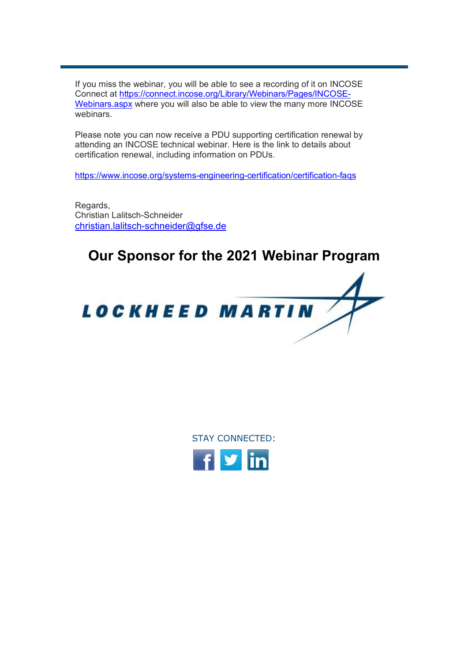If you miss the webinar, you will be able to see a recording of it on INCOSE Connect at [https://connect.incose.org/Library/Webinars/Pages/INCOSE-](https://connect.incose.org/Library/Webinars/Pages/INCOSE-Webinars.aspx)[Webinars.aspx](https://connect.incose.org/Library/Webinars/Pages/INCOSE-Webinars.aspx) where you will also be able to view the many more INCOSE webinars.

Please note you can now receive a PDU supporting certification renewal by attending an INCOSE technical webinar. Here is the link to details about certification renewal, including information on PDUs.

<https://www.incose.org/systems-engineering-certification/certification-faqs>

Regards, Christian Lalitsch-Schneider [christian.lalitsch-schneider@gfse.de](mailto:christian.lalitsch-schneider@gfse.de)

## **Our Sponsor for the 2021 Webinar Program**